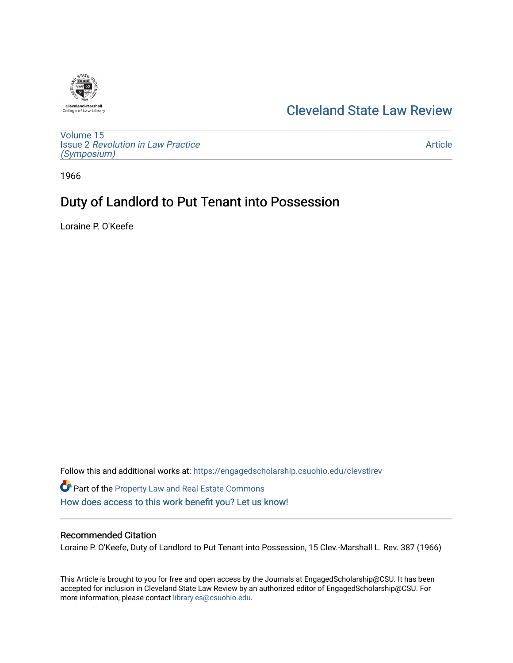## [Cleveland State Law Review](https://engagedscholarship.csuohio.edu/clevstlrev)

[Volume 15](https://engagedscholarship.csuohio.edu/clevstlrev/vol15) Issue 2 [Revolution in Law Practice](https://engagedscholarship.csuohio.edu/clevstlrev/vol15/iss2) [\(Symposium\)](https://engagedscholarship.csuohio.edu/clevstlrev/vol15/iss2)

[Article](https://engagedscholarship.csuohio.edu/clevstlrev/vol15/iss2/21) 

1966

# Duty of Landlord to Put Tenant into Possession

Loraine P. O'Keefe

Follow this and additional works at: [https://engagedscholarship.csuohio.edu/clevstlrev](https://engagedscholarship.csuohio.edu/clevstlrev?utm_source=engagedscholarship.csuohio.edu%2Fclevstlrev%2Fvol15%2Fiss2%2F21&utm_medium=PDF&utm_campaign=PDFCoverPages)

Part of the [Property Law and Real Estate Commons](http://network.bepress.com/hgg/discipline/897?utm_source=engagedscholarship.csuohio.edu%2Fclevstlrev%2Fvol15%2Fiss2%2F21&utm_medium=PDF&utm_campaign=PDFCoverPages)  [How does access to this work benefit you? Let us know!](http://library.csuohio.edu/engaged/)

#### Recommended Citation

Loraine P. O'Keefe, Duty of Landlord to Put Tenant into Possession, 15 Clev.-Marshall L. Rev. 387 (1966)

This Article is brought to you for free and open access by the Journals at EngagedScholarship@CSU. It has been accepted for inclusion in Cleveland State Law Review by an authorized editor of EngagedScholarship@CSU. For more information, please contact [library.es@csuohio.edu](mailto:library.es@csuohio.edu).

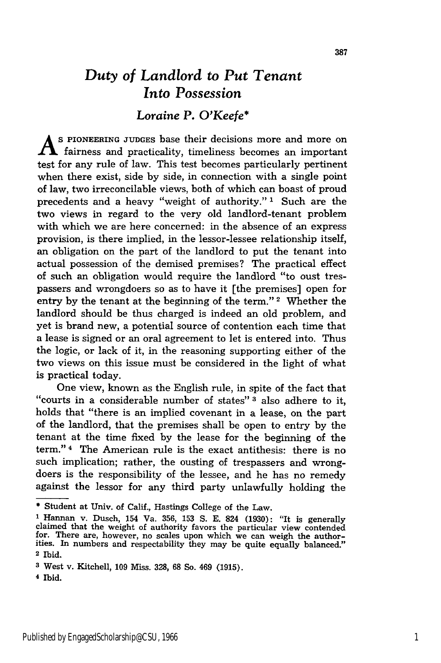### *Duty of Landlord to Put Tenant Into Possession*

#### *Loraine P. O'Keefe\**

**A S PIONEERING JUDGES** base their decisions more and more on  $\Lambda$  fairness and practicality, timeliness becomes an important test for any rule of law. This test becomes particularly pertinent when there exist, side by side, in connection with a single point of law, two irreconcilable views, both of which can boast of proud precedents and a heavy "weight of authority." **1** Such are the two views in regard to the very old landlord-tenant problem with which we are here concerned: in the absence of an express provision, is there implied, in the lessor-lessee relationship itself, an obligation on the part of the landlord to put the tenant into actual possession of the demised premises? The practical effect of such an obligation would require the landlord "to oust trespassers and wrongdoers so as to have it [the premises] open for entry by the tenant at the beginning of the term."<sup>2</sup> Whether the landlord should be thus charged is indeed an old problem, and yet is brand new, a potential source of contention each time that a lease is signed or an oral agreement to let is entered into. Thus the logic, or lack of it, in the reasoning supporting either of the two views on this issue must be considered in the light of what is practical today.

One view, known as the English rule, in spite of the fact that "courts in a considerable number of states" **3** also adhere to it, holds that "there is an implied covenant in a lease, on the part of the landlord, that the premises shall be open to entry **by** the tenant at the time fixed **by** the lease for the beginning of the term." 4 The American rule is the exact antithesis: there is no such implication; rather, the ousting of trespassers and wrongdoers is the responsibility of the lessee, and he has no remedy against the lessor for any third party unlawfully holding the

4 Ibid.

<sup>\*</sup>Student at Univ. of Calif., Hastings College of the Law.

**<sup>1</sup>**Hannan v. Dusch, 154 Va. **356, 153 S. E.** 824 **(1930):** "It is generally claimed that the weight of authority favors the particular view contended for. There are, however, no scales upon which we can weigh the authorities. In numbers and respectability they may be quite equally balanced." **2 Ibid.**

**<sup>3</sup>** West v. Kitchell, **109** Miss. **328, 68** So. 469 **(1915).**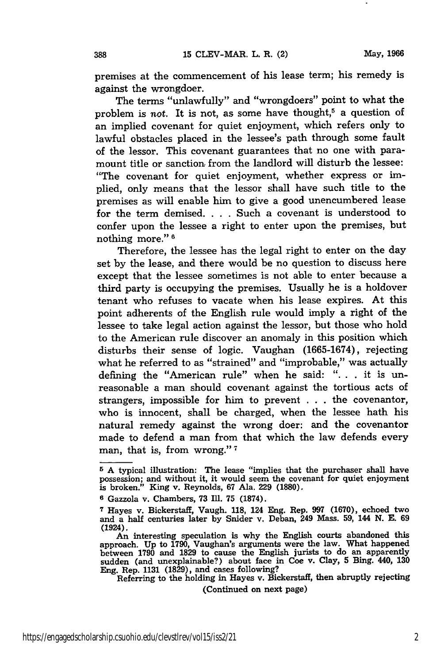388

premises at the commencement of his lease term; his remedy is against the wrongdoer.

The terms "unlawfully" and "wrongdoers" point to what the problem is not. It is not, as some have thought,<sup>5</sup> a question of an implied covenant for quiet enjoyment, which refers only to lawful obstacles placed in the lessee's path through some fault of the lessor. This covenant guarantees that no one with paramount title or sanction from the landlord will disturb the lessee: "The covenant for quiet enjoyment, whether express or implied, only means that the lessor shall have such title to the premises as will enable him to give a good unencumbered lease for the term demised. . **.** . Such a covenant is understood to confer upon the lessee a right to enter upon the premises, but nothing more." **1**

Therefore, the lessee has the legal right to enter on the day set by the lease, and there would be no question to discuss here except that the lessee sometimes is not able to enter because a third party is occupying the premises. Usually he is a holdover tenant who refuses to vacate when his lease expires. At this point adherents of the English rule would imply a right of the lessee to take legal action against the lessor, but those who hold to the American rule discover an anomaly in this position which disturbs their sense of logic. Vaughan (1665-1674), rejecting what he referred to as "strained" and "improbable," was actually defining the "American rule" when he said: ". **.** . it is unreasonable a man should covenant against the tortious acts of strangers, impossible for him to prevent . . . the covenantor, who is innocent, shall be charged, when the lessee hath his natural remedy against the wrong doer: and the covenantor made to defend a man from that which the law defends every man, that is, from wrong." **<sup>7</sup>**

Referring to the holding in Hayes v. Bickerstaff, then abruptly rejecting

(Continued on next page)

**<sup>5</sup>**A typical illustration: The lease "implies that the purchaser shall have possession; and without it, it would seem the covenant for quiet enjoyment is broken." King v. Reynolds, **67** Ala. **229 (1880).**

**<sup>6</sup>** Gazzola v. Chambers, **73 IIl. 75 (1874).**

**<sup>7</sup>**Hayes v. Bickerstaff, Vaugh. **118,** 124 Eng. Rep. **997 (1670),** echoed two and a half centuries later **by** Snider v. Deban, 249 Mass. **59,** 144 **N. E. 69** (1924).

An interesting speculation is why the English courts abandoned this approach. **Up** to **1790,** Vaughan's arguments were the law. What happened between **1790** and **1829** to cause the English jurists to do an apparently sudden (and unexplainable?) about face in Coe v. Clay, **5** Bing. 440, **130** Eng. Rep. **1131 (1829),** and cases following?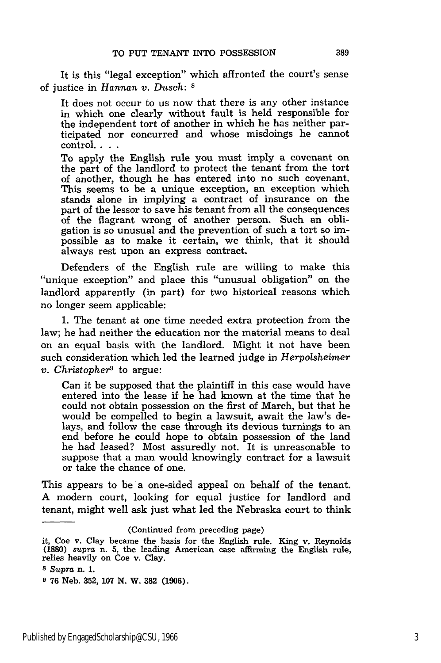It is this "legal exception" which affronted the court's sense of justice in *Hannan v. Dusch: s*

It does not occur to us now that there is any other instance in which one clearly without fault is held responsible for the independent tort of another in which he has neither participated nor concurred and whose misdoings he cannot control....

To apply the English rule you must imply a covenant on the part of the landlord to protect the tenant from the tort of another, though he has entered into no such covenant. This seems to be a unique exception, an exception which stands alone in implying a contract of insurance on the part of the lessor to save his tenant from all the consequences of the flagrant wrong of another person. Such an obligation is so unusual and the prevention of such a tort so impossible as to make it certain, we think, that it should always rest upon an express contract.

Defenders of the English rule are willing to make this ''unique exception" and place this "unusual obligation" on the landlord apparently (in part) for two historical reasons which no longer seem applicable:

1. The tenant at one time needed extra protection from the law; he had neither the education nor the material means to deal on an equal basis with the landlord. Might it not have been such consideration which led the learned judge in *Herpolsheimer v. Christopher9* to argue:

Can it be supposed that the plaintiff in this case would have entered into the lease if he had known at the time that he could not obtain possession on the first of March, but that he would be compelled to begin a lawsuit, await the law's delays, and follow the case through its devious turnings to an end before he could hope to obtain possession of the land he had leased? Most assuredly not. It is unreasonable to suppose that a man would knowingly contract for a lawsuit or take the chance of one.

This appears to be a one-sided appeal on behalf of the tenant. A modern court, looking for equal justice for landlord and tenant, might well ask just what led the Nebraska court to think

<sup>(</sup>Continued from preceding page)

it, Coe v. Clay became the basis for the English rule. King v. Reynolds (1880) supra n. **5,** the leading American case affirming the English rule, relies heavily on Coe v. Clay.

**<sup>8</sup>** *Supra* n. 1.

**<sup>9 76</sup>** Neb. **352, 107 N.** W. **382 (1906).**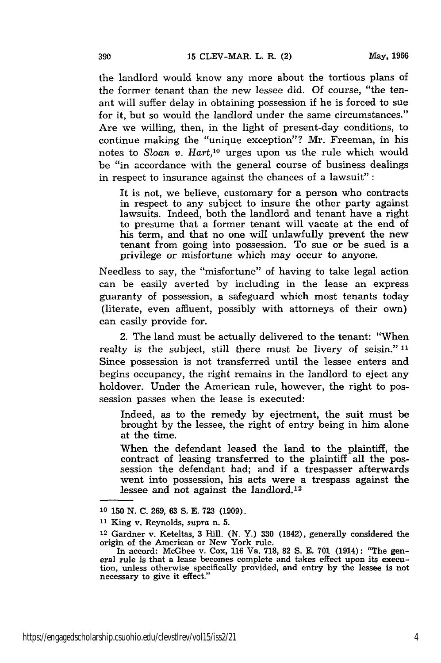the landlord would know any more about the tortious plans of the former tenant than the new lessee did. Of course, "the tenant will suffer delay in obtaining possession if he is forced to sue for it, but so would the landlord under the same circumstances." Are we willing, then, in the light of present-day conditions, to continue making the "unique exception"? Mr. Freeman, in his notes to Sloan *v. Hart,10* urges upon us the rule which would be "in accordance with the general course of business dealings in respect to insurance against the chances of a lawsuit" **:**

It is not, we believe, customary for a person who contracts in respect to any subject to insure the other party against lawsuits. Indeed, both the landlord and tenant have a right to presume that a former tenant will vacate at the end of his term, and that no one will unlawfully prevent the new tenant from going into possession. To sue or be sued is a privilege or misfortune which may occur to anyone.

Needless to say, the "misfortune" of having to take legal action can be easily averted by including in the lease an express guaranty of possession, a safeguard which most tenants today (literate, even affluent, possibly with attorneys of their own) can easily provide for.

2. The land must be actually delivered to the tenant: "When realty is the subject, still there must be livery of seisin." **11** Since possession is not transferred until the lessee enters and begins occupancy, the right remains in the landlord to eject any holdover. Under the American rule, however, the right to possession passes when the lease is executed:

Indeed, as to the remedy by ejectment, the suit must be brought by the lessee, the right of entry being in him alone at the time.

When the defendant leased the land to the plaintiff, the contract of leasing transferred to the plaintiff all the possession the defendant had; and if a trespasser afterwards went into possession, his acts were a trespass against the lessee and not against the landlord.<sup>12</sup>

**<sup>10 150</sup>** N. **C.** 269, 63 S. E. **723** (1909).

**<sup>11</sup>**King v. Reynolds, *supra* n. 5.

<sup>12</sup> Gardner v. Keteltas, **3** Hill. (N. Y.) 330 (1842), generally considered the origin of the American or New York rule.

In accord: McGhee v. Cox, **116** Va. **718, 82** S. E. **701** (1914): "The general rule is that a lease becomes complete and takes effect upon its execu- tion, unless otherwise specifically provided, and entry by the lessee is not necessary to give it effect."